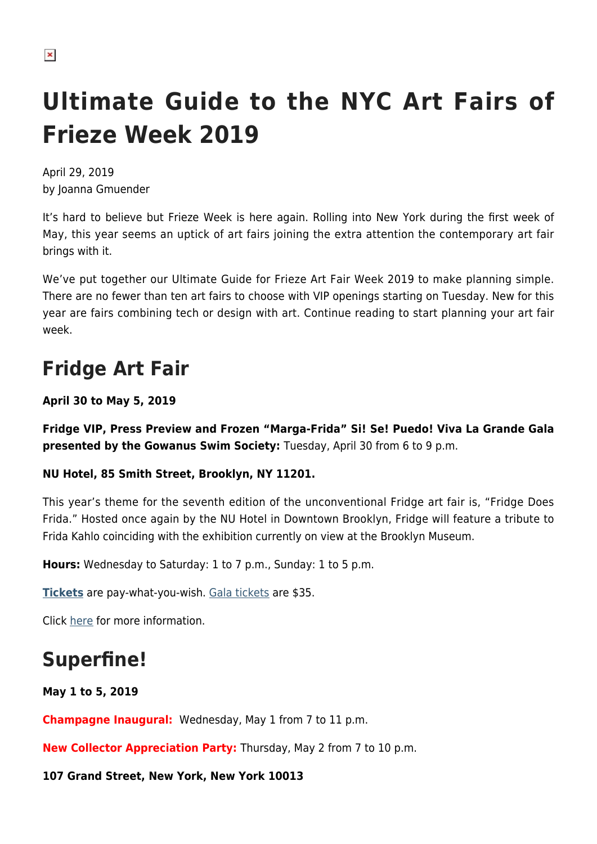# **Ultimate Guide to the NYC Art Fairs of Frieze Week 2019**

April 29, 2019 by Joanna Gmuender

It's hard to believe but Frieze Week is here again. Rolling into New York during the first week of May, this year seems an uptick of art fairs joining the extra attention the contemporary art fair brings with it.

We've put together our Ultimate Guide for Frieze Art Fair Week 2019 to make planning simple. There are no fewer than ten art fairs to choose with VIP openings starting on Tuesday. New for this year are fairs combining tech or design with art. Continue reading to start planning your art fair week.

# **Fridge Art Fair**

**April 30 to May 5, 2019**

**Fridge VIP, Press Preview and Frozen "Marga-Frida" Si! Se! Puedo! Viva La Grande Gala presented by the Gowanus Swim Society:** Tuesday, April 30 from 6 to 9 p.m.

#### **NU Hotel, 85 Smith Street, Brooklyn, NY 11201.**

This year's theme for the seventh edition of the unconventional Fridge art fair is, "Fridge Does Frida." Hosted once again by the NU Hotel in Downtown Brooklyn, Fridge will feature a tribute to Frida Kahlo coinciding with the exhibition currently on view at the Brooklyn Museum.

**Hours:** Wednesday to Saturday: 1 to 7 p.m., Sunday: 1 to 5 p.m.

**[Tickets](https://www.universe.com/events/fridge-does-frida-fridge-art-fair-nyc-frieze-week-nyc-2019-tickets-CZ9BRY)** are pay-what-you-wish. [Gala tickets](https://www.universe.com/events/the-fridge-art-fair-frozen-marga-frida-a-grand-galla-opening-celebration-tickets-MY21Z7) are \$35.

Click [here](http://www.fridgeartfair.com) for more information.

### **Superfine!**

**May 1 to 5, 2019**

**Champagne Inaugural:** Wednesday, May 1 from 7 to 11 p.m.

**New Collector Appreciation Party:** Thursday, May 2 from 7 to 10 p.m.

#### **107 Grand Street, New York, New York 10013**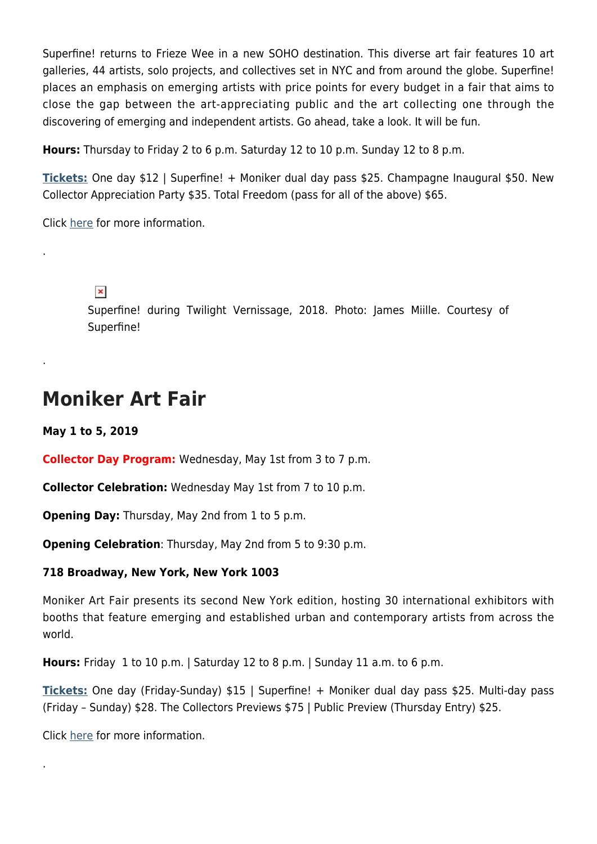Superfine! returns to Frieze Wee in a new SOHO destination. This diverse art fair features 10 art galleries, 44 artists, solo projects, and collectives set in NYC and from around the globe. Superfine! places an emphasis on emerging artists with price points for every budget in a fair that aims to close the gap between the art-appreciating public and the art collecting one through the discovering of emerging and independent artists. Go ahead, take a look. It will be fun.

**Hours:** Thursday to Friday 2 to 6 p.m. Saturday 12 to 10 p.m. Sunday 12 to 8 p.m.

**[Tickets:](https://www.eventbrite.com/e/superfine-art-fair-nyc-2019-tickets-57843242696)** One day \$12 | Superfine! + Moniker dual day pass \$25. Champagne Inaugural \$50. New Collector Appreciation Party \$35. Total Freedom (pass for all of the above) \$65.

Click [here](https://superfine.world/new-york-city) for more information.

#### $\pmb{\times}$

.

.

.

Superfine! during Twilight Vernissage, 2018. Photo: James Miille. Courtesy of Superfine!

### **Moniker Art Fair**

**May 1 to 5, 2019**

**Collector Day Program:** Wednesday, May 1st from 3 to 7 p.m.

**Collector Celebration:** Wednesday May 1st from 7 to 10 p.m.

**Opening Day:** Thursday, May 2nd from 1 to 5 p.m.

**Opening Celebration**: Thursday, May 2nd from 5 to 9:30 p.m.

#### **718 Broadway, New York, New York 1003**

Moniker Art Fair presents its second New York edition, hosting 30 international exhibitors with booths that feature emerging and established urban and contemporary artists from across the world.

**Hours:** Friday 1 to 10 p.m. | Saturday 12 to 8 p.m. | Sunday 11 a.m. to 6 p.m.

**[Tickets:](https://www.eventbrite.co.uk/e/moniker-international-art-fair-tickets-56183697953?aff=ebapi)** One day (Friday-Sunday) \$15 | Superfine! + Moniker dual day pass \$25. Multi-day pass (Friday – Sunday) \$28. The Collectors Previews \$75 | Public Preview (Thursday Entry) \$25.

Click [here](http://www.monikerartfair.com) for more information.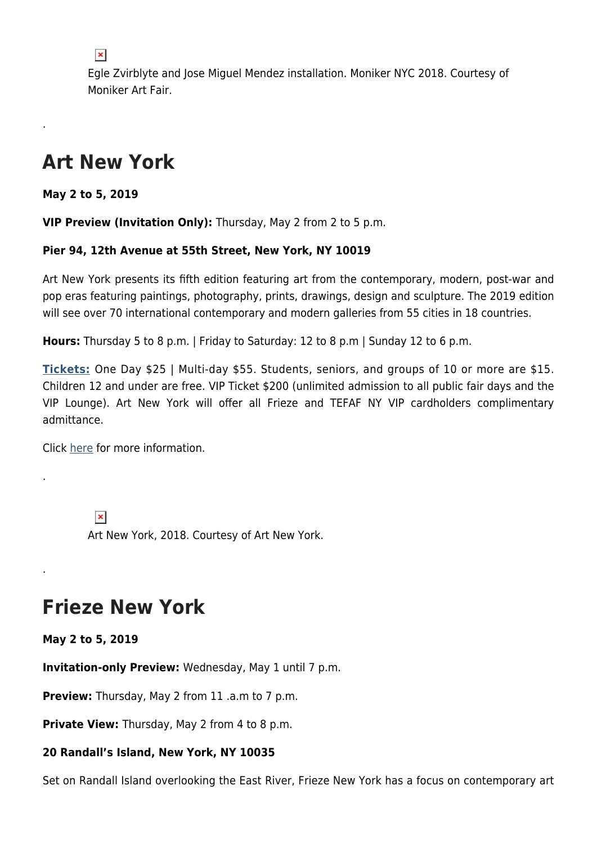$\pmb{\times}$ 

Egle Zvirblyte and Jose Miguel Mendez installation. Moniker NYC 2018. Courtesy of Moniker Art Fair.

### **Art New York**

**May 2 to 5, 2019**

.

.

.

**VIP Preview (Invitation Only):** Thursday, May 2 from 2 to 5 p.m.

#### **Pier 94, 12th Avenue at 55th Street, New York, NY 10019**

Art New York presents its fifth edition featuring art from the contemporary, modern, post-war and pop eras featuring paintings, photography, prints, drawings, design and sculpture. The 2019 edition will see over 70 international contemporary and modern galleries from 55 cities in 18 countries.

**Hours:** Thursday 5 to 8 p.m. | Friday to Saturday: 12 to 8 p.m | Sunday 12 to 6 p.m.

**[Tickets:](https://www.universe.com/events/art-new-york-2019-at-pier-94-tickets-new-york-PQDJX7)** One Day \$25 | Multi-day \$55. Students, seniors, and groups of 10 or more are \$15. Children 12 and under are free. VIP Ticket \$200 (unlimited admission to all public fair days and the VIP Lounge). Art New York will offer all Frieze and TEFAF NY VIP cardholders complimentary admittance.

Click [here](http://www.artnyfair.com) for more information.

 $\pmb{\times}$ Art New York, 2018. Courtesy of Art New York.

## **Frieze New York**

**May 2 to 5, 2019**

**Invitation-only Preview:** Wednesday, May 1 until 7 p.m.

**Preview:** Thursday, May 2 from 11 .a.m to 7 p.m.

**Private View:** Thursday, May 2 from 4 to 8 p.m.

#### **20 Randall's Island, New York, NY 10035**

Set on Randall Island overlooking the East River, Frieze New York has a focus on contemporary art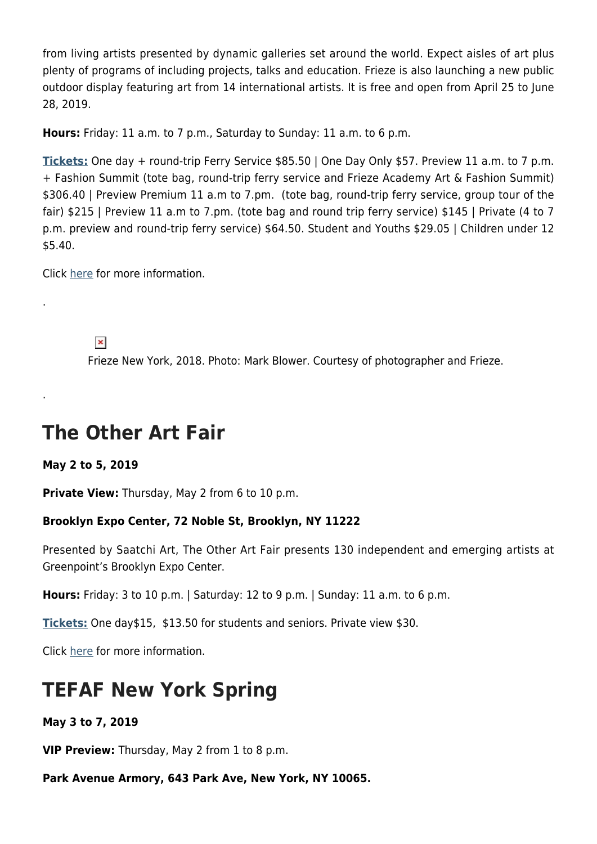from living artists presented by dynamic galleries set around the world. Expect aisles of art plus plenty of programs of including projects, talks and education. Frieze is also launching a new public outdoor display featuring art from 14 international artists. It is free and open from April 25 to June 28, 2019.

**Hours:** Friday: 11 a.m. to 7 p.m., Saturday to Sunday: 11 a.m. to 6 p.m.

**[Tickets:](https://friezeny.seetickets.com/tour/frieze-new-york)** One day + round-trip Ferry Service \$85.50 | One Day Only \$57. Preview 11 a.m. to 7 p.m. + Fashion Summit (tote bag, round-trip ferry service and Frieze Academy Art & Fashion Summit) \$306.40 | Preview Premium 11 a.m to 7.pm. (tote bag, round-trip ferry service, group tour of the fair) \$215 | Preview 11 a.m to 7.pm. (tote bag and round trip ferry service) \$145 | Private (4 to 7 p.m. preview and round-trip ferry service) \$64.50. Student and Youths \$29.05 | Children under 12 \$5.40.

Click [here](https://frieze.com/) for more information.

 $\pmb{\times}$ 

.

.

Frieze New York, 2018. Photo: Mark Blower. Courtesy of photographer and Frieze.

### **The Other Art Fair**

**May 2 to 5, 2019**

**Private View:** Thursday, May 2 from 6 to 10 p.m.

#### **Brooklyn Expo Center, 72 Noble St, Brooklyn, NY 11222**

Presented by Saatchi Art, The Other Art Fair presents 130 independent and emerging artists at Greenpoint's Brooklyn Expo Center.

**Hours:** Friday: 3 to 10 p.m. | Saturday: 12 to 9 p.m. | Sunday: 11 a.m. to 6 p.m.

**[Tickets:](https://www.eventbrite.com/e/the-other-art-fair-brooklyn-tickets-54751076945)** One day\$15, \$13.50 for students and seniors. Private view \$30.

Click [here](http://www.nyc.theotherartfair.com) for more information.

### **TEFAF New York Spring**

**May 3 to 7, 2019**

**VIP Preview:** Thursday, May 2 from 1 to 8 p.m.

**Park Avenue Armory, 643 Park Ave, New York, NY 10065.**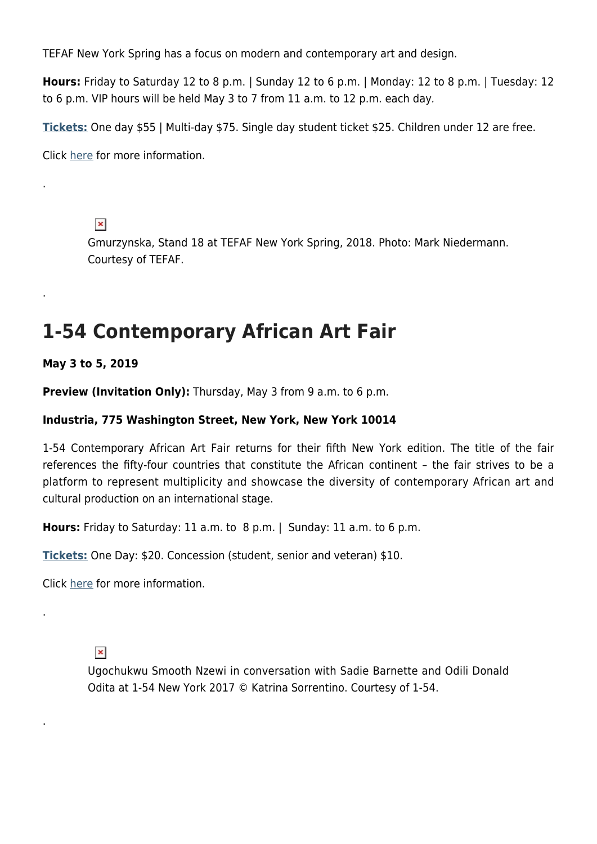TEFAF New York Spring has a focus on modern and contemporary art and design.

**Hours:** Friday to Saturday 12 to 8 p.m. | Sunday 12 to 6 p.m. | Monday: 12 to 8 p.m. | Tuesday: 12 to 6 p.m. VIP hours will be held May 3 to 7 from 11 a.m. to 12 p.m. each day.

**[Tickets:](https://www.eventpartners7.nl/tefaf-ny/Registration/event/tickets)** One day \$55 | Multi-day \$75. Single day student ticket \$25. Children under 12 are free.

Click [here](http://www.tefaf.com) for more information.

 $\pmb{\times}$ 

.

.

.

.

Gmurzynska, Stand 18 at TEFAF New York Spring, 2018. Photo: Mark Niedermann. Courtesy of TEFAF.

# **1-54 Contemporary African Art Fair**

**May 3 to 5, 2019**

**Preview (Invitation Only):** Thursday, May 3 from 9 a.m. to 6 p.m.

#### **Industria, 775 Washington Street, New York, New York 10014**

1-54 Contemporary African Art Fair returns for their fifth New York edition. The title of the fair references the fifty-four countries that constitute the African continent – the fair strives to be a platform to represent multiplicity and showcase the diversity of contemporary African art and cultural production on an international stage.

**Hours:** Friday to Saturday: 11 a.m. to 8 p.m. | Sunday: 11 a.m. to 6 p.m.

**[Tickets:](https://www.eventbrite.co.uk/e/1-54-new-york-2019-tickets-58664301505)** One Day: \$20. Concession (student, senior and veteran) \$10.

Click [here](http://www.1-54.com) for more information.

 $\pmb{\times}$ 

Ugochukwu Smooth Nzewi in conversation with Sadie Barnette and Odili Donald Odita at 1-54 New York 2017 © Katrina Sorrentino. Courtesy of 1-54.